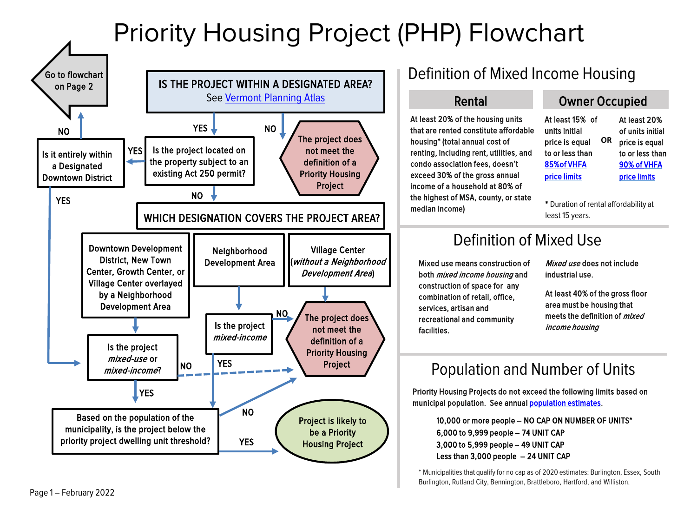## Priority Housing Project (PHP) Flowchart



\* Municipalities that qualify for no cap as of 2020 estimates: Burlington, Essex, South Burlington, Rutland City, Bennington, Brattleboro, Hartford, and Williston.